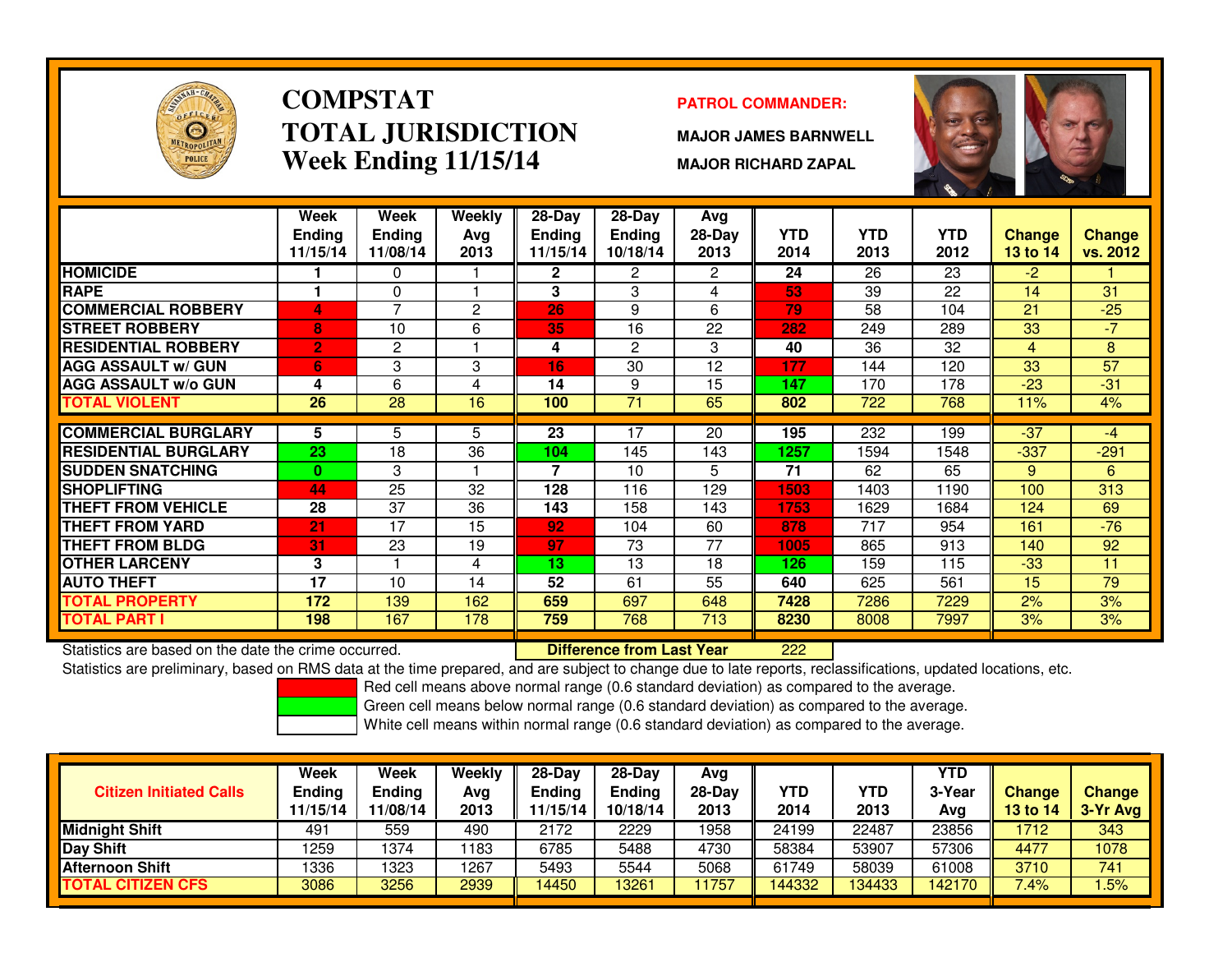

# **COMPSTATTOTAL JURISDICTIONWeek Ending 11/15/14**

### **PATROL COMMANDER:**

**MAJOR JAMES BARNWELL**

**MAJOR RICHARD ZAPAL**



|                             | Week          | Week          | Weekly | $28 - Day$      | $28 - Day$      | Avg          |            |            |            |               |               |
|-----------------------------|---------------|---------------|--------|-----------------|-----------------|--------------|------------|------------|------------|---------------|---------------|
|                             | <b>Ending</b> | <b>Ending</b> | Avg    | <b>Ending</b>   | <b>Ending</b>   | $28-Day$     | <b>YTD</b> | <b>YTD</b> | <b>YTD</b> | <b>Change</b> | <b>Change</b> |
|                             | 11/15/14      | 11/08/14      | 2013   | 11/15/14        | 10/18/14        | 2013         | 2014       | 2013       | 2012       | 13 to 14      | vs. 2012      |
| <b>HOMICIDE</b>             |               | 0             |        | 2               | 2               | $\mathbf{2}$ | 24         | 26         | 23         | $-2$          |               |
| <b>RAPE</b>                 |               | 0             |        | 3               | 3               | 4            | 53         | 39         | 22         | 14            | 31            |
| <b>COMMERCIAL ROBBERY</b>   | 4             | 7             | 2      | 26              | 9               | 6            | 79         | 58         | 104        | 21            | $-25$         |
| <b>STREET ROBBERY</b>       | 8             | 10            | 6      | 35              | 16              | 22           | 282        | 249        | 289        | 33            | $-7$          |
| <b>RESIDENTIAL ROBBERY</b>  | $\mathbf{2}$  | 2             |        | 4               | 2               | 3            | 40         | 36         | 32         | 4             | 8             |
| <b>AGG ASSAULT w/ GUN</b>   | 6             | 3             | 3      | 16              | 30              | 12           | 177        | 144        | 120        | 33            | 57            |
| <b>AGG ASSAULT w/o GUN</b>  | 4             | 6             | 4      | 14              | 9               | 15           | 147        | 170        | 178        | $-23$         | $-31$         |
| <b>TOTAL VIOLENT</b>        | 26            | 28            | 16     | 100             | $\overline{71}$ | 65           | 802        | 722        | 768        | 11%           | 4%            |
|                             |               |               |        |                 |                 |              |            |            |            |               |               |
| <b>COMMERCIAL BURGLARY</b>  | 5             | 5             | 5      | 23              | 17              | 20           | 195        | 232        | 199        | $-37$         | -4            |
| <b>RESIDENTIAL BURGLARY</b> | 23            | 18            | 36     | 104             | 145             | 143          | 1257       | 1594       | 1548       | $-337$        | $-291$        |
| <b>SUDDEN SNATCHING</b>     | $\mathbf{0}$  | 3             |        | 7               | 10              | 5            | 71         | 62         | 65         | 9             | 6             |
| <b>SHOPLIFTING</b>          | 44            | 25            | 32     | 128             | 116             | 129          | 1503       | 1403       | 1190       | 100           | 313           |
| <b>THEFT FROM VEHICLE</b>   | 28            | 37            | 36     | 143             | 158             | 143          | 1753       | 1629       | 1684       | 124           | 69            |
| <b>THEFT FROM YARD</b>      | 21            | 17            | 15     | 92              | 104             | 60           | 878        | 717        | 954        | 161           | $-76$         |
| <b>THEFT FROM BLDG</b>      | 31            | 23            | 19     | 97              | 73              | 77           | 1005       | 865        | 913        | 140           | 92            |
| <b>OTHER LARCENY</b>        | 3             |               | 4      | 13 <sub>1</sub> | 13              | 18           | 126        | 159        | 115        | $-33$         | 11            |
| <b>AUTO THEFT</b>           | 17            | 10            | 14     | 52              | 61              | 55           | 640        | 625        | 561        | 15            | 79            |
| <b>TOTAL PROPERTY</b>       | 172           | 139           | 162    | 659             | 697             | 648          | 7428       | 7286       | 7229       | 2%            | 3%            |
| <b>TOTAL PART I</b>         | 198           | 167           | 178    | 759             | 768             | 713          | 8230       | 8008       | 7997       | 3%            | 3%            |

Statistics are based on the date the crime occurred. **Difference from Last Year** 

<sup>222</sup>

Statistics are preliminary, based on RMS data at the time prepared, and are subject to change due to late reports, reclassifications, updated locations, etc.

Red cell means above normal range (0.6 standard deviation) as compared to the average.

Green cell means below normal range (0.6 standard deviation) as compared to the average.

| <b>Citizen Initiated Calls</b> | Week<br><b>Ending</b><br>11/15/14 | <b>Week</b><br>Endina<br>11/08/14 | Weekly<br>Avg<br>2013 | $28-Dav$<br>Ending<br>1/15/14 | $28-Dav$<br><b>Ending</b><br>10/18/14 | Avg<br>$28-Day$<br>2013 | YTD<br>2014 | YTD<br>2013 | <b>YTD</b><br>3-Year<br>Avg | <b>Change</b><br><b>13 to 14</b> | Change<br>$3-Yr$ Avg |
|--------------------------------|-----------------------------------|-----------------------------------|-----------------------|-------------------------------|---------------------------------------|-------------------------|-------------|-------------|-----------------------------|----------------------------------|----------------------|
| <b>Midnight Shift</b>          | 491                               | 559                               | 490                   | 2172                          | 2229                                  | 1958                    | 24199       | 22487       | 23856                       | 1712                             | 343                  |
| Day Shift                      | 1259                              | 1374                              | 183                   | 6785                          | 5488                                  | 4730                    | 58384       | 53907       | 57306                       | 4477                             | 1078                 |
| <b>Afternoon Shift</b>         | 1336                              | 1323                              | 1267                  | 5493                          | 5544                                  | 5068                    | 61749       | 58039       | 61008                       | 3710                             | 741                  |
| <b>TOTAL CITIZEN CFS</b>       | 3086                              | 3256                              | 2939                  | 14450                         | 13261                                 | 1757                    | 144332      | 134433      | 142170                      | 7.4%                             | .5%                  |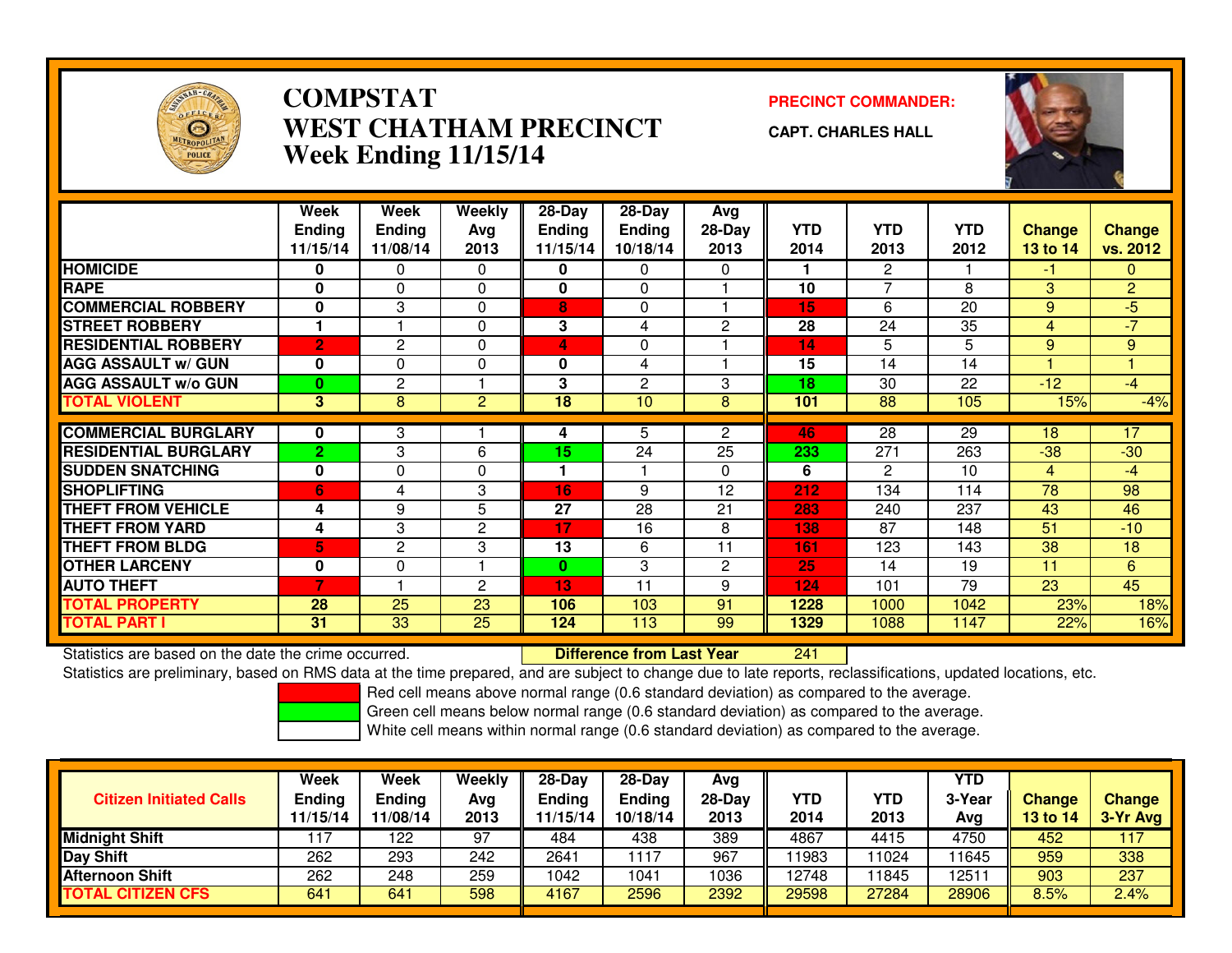

### **COMPSTATPRECINCT COMMANDER:**<br>A TITLA NALIDED TO TALCINE OF THE COMMAND PRECINCT OF THE COMMAND OF THE COMMAND OF THE COMMAND OF THE COMMAND OF THE COMMAND OF THE COMMAND OF THE COMMAND OF THE COMMAND OF THE COMMAND OF THE COMMAND **WEST CHATHAM PRECINCTWeek Ending 11/15/14**

**CAPT. CHARLES HALL**



|                             | Week           | Week           | <b>Weekly</b>  | $28 - Day$      | $28 - Day$     | Avg                  |            |                |            |                |                |
|-----------------------------|----------------|----------------|----------------|-----------------|----------------|----------------------|------------|----------------|------------|----------------|----------------|
|                             | <b>Ending</b>  | <b>Ending</b>  | Ava            | <b>Ending</b>   | <b>Ending</b>  | 28-Day               | <b>YTD</b> | <b>YTD</b>     | <b>YTD</b> | <b>Change</b>  | <b>Change</b>  |
|                             | 11/15/14       | 11/08/14       | 2013           | 11/15/14        | 10/18/14       | 2013                 | 2014       | 2013           | 2012       | 13 to 14       | vs. 2012       |
| <b>HOMICIDE</b>             | 0              | 0              | $\Omega$       | 0               | 0              | $\Omega$             |            | $\overline{2}$ |            | -1             | $\mathbf{0}$   |
| <b>RAPE</b>                 | $\bf{0}$       | $\Omega$       | $\Omega$       | 0               | $\Omega$       |                      | 10         | $\overline{7}$ | 8          | 3              | $\overline{2}$ |
| <b>COMMERCIAL ROBBERY</b>   | $\mathbf{0}$   | 3              | $\Omega$       | 8               | $\Omega$       |                      | 15         | 6              | 20         | 9              | $-5$           |
| <b>STREET ROBBERY</b>       |                |                | 0              | 3               | 4              | $\overline{2}$       | 28         | 24             | 35         | $\overline{4}$ | $-7$           |
| <b>RESIDENTIAL ROBBERY</b>  | $\overline{2}$ | 2              | 0              | 4               | 0              |                      | 14         | 5              | 5          | 9              | 9              |
| <b>AGG ASSAULT w/ GUN</b>   | $\mathbf{0}$   | $\Omega$       | $\Omega$       | 0               | 4              |                      | 15         | 14             | 14         |                |                |
| <b>AGG ASSAULT w/o GUN</b>  | $\bf{0}$       | 2              |                | 3               | $\overline{c}$ | 3                    | 18         | 30             | 22         | $-12$          | $-4$           |
| <b>TOTAL VIOLENT</b>        | 3 <sup>1</sup> | 8              | $\overline{2}$ | $\overline{18}$ | 10             | 8                    | 101        | 88             | 105        | 15%            | $-4%$          |
|                             |                |                |                |                 |                |                      |            |                |            |                |                |
| <b>COMMERCIAL BURGLARY</b>  | 0              | 3              |                | 4               | 5.             | $\mathbf{2}^{\circ}$ | 46         | 28             | 29         | 18             | 17             |
| <b>RESIDENTIAL BURGLARY</b> | $\overline{2}$ | 3              | 6              | 15              | 24             | 25                   | 233        | 271            | 263        | $-38$          | $-30$          |
| <b>SUDDEN SNATCHING</b>     | $\mathbf{0}$   | 0              | $\Omega$       |                 |                | $\Omega$             | 6          | 2              | 10         | $\overline{4}$ | $-4$           |
| <b>SHOPLIFTING</b>          | 6              | 4              | 3              | 16              | 9              | 12                   | 212        | 134            | 114        | 78             | 98             |
| <b>THEFT FROM VEHICLE</b>   | 4              | 9              | 5              | 27              | 28             | 21                   | 283        | 240            | 237        | 43             | 46             |
| <b>THEFT FROM YARD</b>      | 4              | 3              | $\overline{c}$ | 17              | 16             | 8                    | 138        | 87             | 148        | 51             | $-10$          |
| <b>THEFT FROM BLDG</b>      | 5              | $\overline{c}$ | 3              | 13              | 6              | 11                   | 161        | 123            | 143        | 38             | 18             |
| <b>OTHER LARCENY</b>        | $\mathbf{0}$   | 0              |                | $\mathbf{0}$    | 3              | $\overline{2}$       | 25         | 14             | 19         | 11             | 6              |
| <b>AUTO THEFT</b>           | 7              |                | $\mathbf{2}$   | 13              | 11             | 9                    | 124        | 101            | 79         | 23             | 45             |
| <b>TOTAL PROPERTY</b>       | 28             | 25             | 23             | 106             | 103            | 91                   | 1228       | 1000           | 1042       | 23%            | 18%            |
| <b>TOTAL PART I</b>         | 31             | 33             | 25             | 124             | 113            | 99                   | 1329       | 1088           | 1147       | 22%            | 16%            |

Statistics are based on the date the crime occurred. **Difference from Last Year** 

<sup>241</sup>

Statistics are preliminary, based on RMS data at the time prepared, and are subject to change due to late reports, reclassifications, updated locations, etc.

Red cell means above normal range (0.6 standard deviation) as compared to the average.

Green cell means below normal range (0.6 standard deviation) as compared to the average.

| <b>Citizen Initiated Calls</b> | Week<br>Ending<br>11/15/14 | Week<br>Ending<br>11/08/14 | Weekly<br>Avg<br>2013 | $28-Day$<br><b>Ending</b><br>11/15/14 | 28-Day<br><b>Ending</b><br>10/18/14 | Avg<br>28-Day<br>2013 | <b>YTD</b><br>2014 | YTD<br>2013 | YTD<br>3-Year<br>Avg | <b>Change</b><br>13 to 14 | <b>Change</b><br>3-Yr Avg |
|--------------------------------|----------------------------|----------------------------|-----------------------|---------------------------------------|-------------------------------------|-----------------------|--------------------|-------------|----------------------|---------------------------|---------------------------|
| <b>Midnight Shift</b>          | 117                        | 122                        | 97                    | 484                                   | 438                                 | 389                   | 4867               | 4415        | 4750                 | 452                       | 117                       |
| <b>Day Shift</b>               | 262                        | 293                        | 242                   | 2641                                  | 117                                 | 967                   | 11983              | 1024        | 1645                 | 959                       | 338                       |
| <b>Afternoon Shift</b>         | 262                        | 248                        | 259                   | 1042                                  | 1041                                | 1036                  | 12748              | 1845        | 12511                | 903                       | 237                       |
| <b>TOTAL CITIZEN CFS</b>       | 641                        | 641                        | 598                   | 4167                                  | 2596                                | 2392                  | 29598              | 27284       | 28906                | 8.5%                      | 2.4%                      |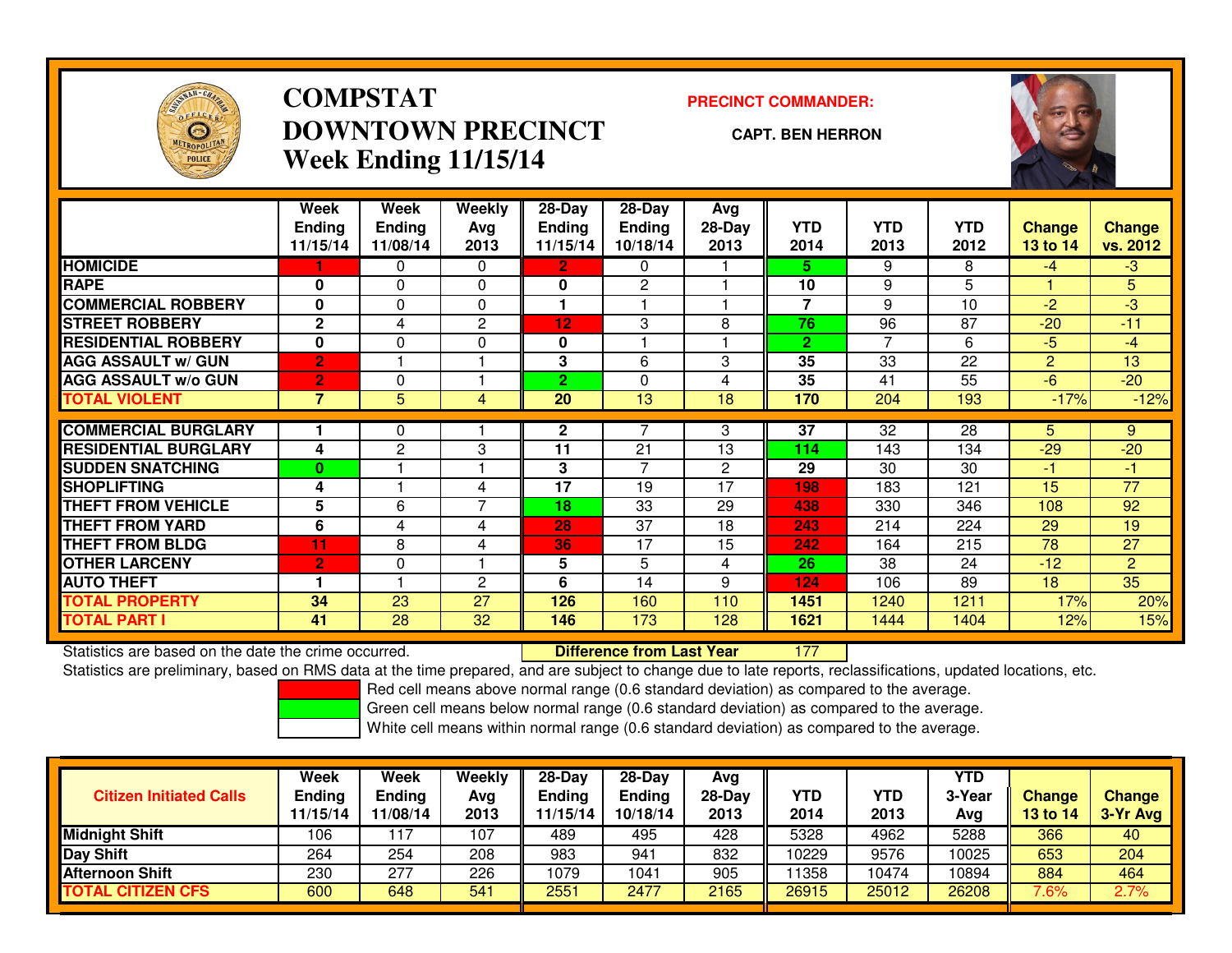

# **COMPSTATDOWNTOWN PRECINCTWeek Ending 11/15/14**

### **PRECINCT COMMANDER:**

#### **CAPT. BEN HERRON**

<sup>177</sup>



|                             | Week<br><b>Ending</b><br>11/15/14 | Week<br><b>Ending</b><br>11/08/14 | Weekly<br>Avg<br>2013 | $28 - Day$<br>Endina<br>11/15/14 | $28 - Day$<br><b>Ending</b><br>10/18/14 | Avg<br>28-Day<br>2013 | <b>YTD</b><br>2014 | <b>YTD</b><br>2013 | YTD.<br>2012 | <b>Change</b><br>13 to 14 | <b>Change</b><br>vs. 2012 |
|-----------------------------|-----------------------------------|-----------------------------------|-----------------------|----------------------------------|-----------------------------------------|-----------------------|--------------------|--------------------|--------------|---------------------------|---------------------------|
| <b>HOMICIDE</b>             |                                   | 0                                 | 0                     | $\mathbf{2}$                     | 0                                       |                       | 5.                 | 9                  | 8            | $-4$                      | $-3$                      |
| <b>RAPE</b>                 | $\bf{0}$                          | $\Omega$                          | $\Omega$              | $\mathbf{0}$                     | $\mathbf{2}$                            |                       | 10                 | 9                  | 5            |                           | 5                         |
| <b>COMMERCIAL ROBBERY</b>   | 0                                 | 0                                 | 0                     |                                  |                                         |                       | 7                  | 9                  | 10           | $-2$                      | $-3$                      |
| <b>STREET ROBBERY</b>       | $\mathbf{2}$                      | 4                                 | 2                     | 12                               | 3                                       | 8                     | 76                 | 96                 | 87           | $-20$                     | $-11$                     |
| <b>RESIDENTIAL ROBBERY</b>  | 0                                 | 0                                 | 0                     | 0                                |                                         |                       | $\mathbf{2}$       | 7                  | 6            | $-5$                      | $-4$                      |
| <b>AGG ASSAULT W/ GUN</b>   | $\overline{2}$                    |                                   |                       | 3                                | 6                                       | 3                     | 35                 | 33                 | 22           | 2                         | 13                        |
| <b>AGG ASSAULT w/o GUN</b>  | $\overline{2}$                    | $\Omega$                          |                       | $\mathbf{2}$                     | $\Omega$                                | 4                     | 35                 | 41                 | 55           | $-6$                      | $-20$                     |
| <b>TOTAL VIOLENT</b>        | $\overline{7}$                    | $\overline{5}$                    | 4                     | $\overline{20}$                  | $\overline{13}$                         | $\overline{18}$       | 170                | $\overline{204}$   | 193          | $-17%$                    | $-12%$                    |
|                             |                                   |                                   |                       |                                  |                                         |                       |                    |                    |              |                           |                           |
| <b>COMMERCIAL BURGLARY</b>  |                                   | 0                                 |                       | $\mathbf{2}$                     |                                         | 3                     | 37                 | 32                 | 28           | 5.                        | 9                         |
| <b>RESIDENTIAL BURGLARY</b> | 4                                 | 2                                 | 3                     | 11                               | 21                                      | 13                    | 114                | 143                | 134          | $-29$                     | $-20$                     |
| <b>SUDDEN SNATCHING</b>     | $\bf{0}$                          |                                   |                       | 3                                | $\overline{z}$                          | $\overline{2}$        | 29                 | 30                 | 30           | $-1$                      | -1                        |
| <b>SHOPLIFTING</b>          | 4                                 |                                   | 4                     | 17                               | 19                                      | 17                    | 198                | 183                | 121          | 15                        | 77                        |
| <b>THEFT FROM VEHICLE</b>   | 5                                 | 6                                 | 7                     | 18                               | 33                                      | 29                    | 438                | 330                | 346          | 108                       | 92                        |
| <b>THEFT FROM YARD</b>      | 6                                 | 4                                 | 4                     | 28                               | 37                                      | 18                    | 243                | 214                | 224          | 29                        | 19                        |
| <b>THEFT FROM BLDG</b>      | 11                                | 8                                 | 4                     | 36                               | 17                                      | 15                    | 242                | 164                | 215          | 78                        | 27                        |
| <b>OTHER LARCENY</b>        | $\overline{2}$                    | 0                                 |                       | 5                                | 5                                       | 4                     | 26                 | 38                 | 24           | $-12$                     | $\overline{2}$            |
| <b>AUTO THEFT</b>           |                                   |                                   | 2                     | 6                                | 14                                      | 9                     | 124                | 106                | 89           | 18                        | 35                        |
| <b>TOTAL PROPERTY</b>       | 34                                | 23                                | 27                    | 126                              | 160                                     | 110                   | 1451               | 1240               | 1211         | 17%                       | 20%                       |
| <b>TOTAL PART I</b>         | 41                                | 28                                | 32                    | 146                              | 173                                     | 128                   | 1621               | 1444               | 1404         | 12%                       | 15%                       |

Statistics are based on the date the crime occurred. **Difference from Last Year** 

Statistics are preliminary, based on RMS data at the time prepared, and are subject to change due to late reports, reclassifications, updated locations, etc.

Red cell means above normal range (0.6 standard deviation) as compared to the average.

Green cell means below normal range (0.6 standard deviation) as compared to the average.

| <b>Citizen Initiated Calls</b> | Week<br><b>Ending</b><br>11/15/14 | Week<br><b>Ending</b><br>11/08/14 | Weekly<br>Avg<br>2013 | $28-Day$<br><b>Ending</b><br>11/15/14 | 28-Dav<br><b>Ending</b><br>10/18/14 | Avg<br>28-Day<br>2013 | YTD<br>2014 | YTD<br>2013 | <b>YTD</b><br>3-Year<br>Avg | <b>Change</b><br>13 to 14 | <b>Change</b><br>3-Yr Avg |
|--------------------------------|-----------------------------------|-----------------------------------|-----------------------|---------------------------------------|-------------------------------------|-----------------------|-------------|-------------|-----------------------------|---------------------------|---------------------------|
| <b>Midnight Shift</b>          | 106                               | 117                               | 107                   | 489                                   | 495                                 | 428                   | 5328        | 4962        | 5288                        | 366                       | 40                        |
| Day Shift                      | 264                               | 254                               | 208                   | 983                                   | 941                                 | 832                   | 10229       | 9576        | 10025                       | 653                       | 204                       |
| <b>Afternoon Shift</b>         | 230                               | 277                               | 226                   | 1079                                  | 1041                                | 905                   | 1358        | 10474       | 10894                       | 884                       | 464                       |
| <b>TOTAL CITIZEN CFS</b>       | 600                               | 648                               | 541                   | 2551                                  | 2477                                | 2165                  | 26915       | 25012       | 26208                       | 7.6%                      | 2.7%                      |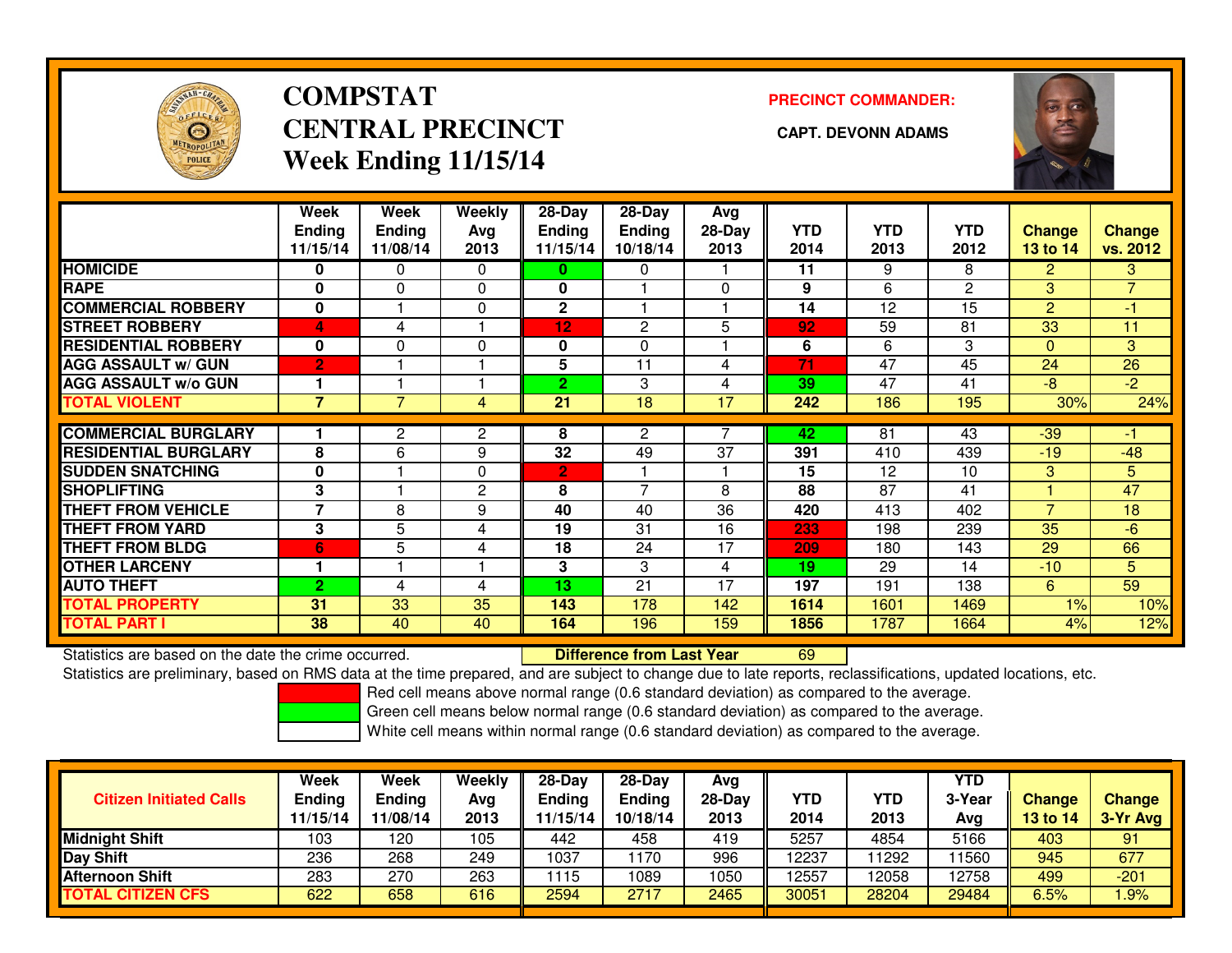

# **COMPSTATCENTRAL PRECINCT** CAPT. DEVONN ADAMS **Week Ending 11/15/14**

**PRECINCT COMMANDER:**



|                             | Week<br><b>Ending</b><br>11/15/14 | Week<br><b>Ending</b><br>11/08/14 | Weekly<br>Ava<br>2013 | $28 - Day$<br>Ending<br>11/15/14 | $28 - Day$<br><b>Ending</b><br>10/18/14 | Avg<br>$28-Day$<br>2013 | <b>YTD</b><br>2014 | <b>YTD</b><br>2013 | <b>YTD</b><br>2012 | <b>Change</b><br>13 to 14 | <b>Change</b><br>vs. 2012 |
|-----------------------------|-----------------------------------|-----------------------------------|-----------------------|----------------------------------|-----------------------------------------|-------------------------|--------------------|--------------------|--------------------|---------------------------|---------------------------|
| <b>HOMICIDE</b>             | 0                                 | 0                                 | 0                     | 0                                | 0                                       |                         | 11                 | 9                  | 8                  | $\overline{2}$            | 3                         |
| <b>RAPE</b>                 | $\mathbf{0}$                      | 0                                 | 0                     | $\mathbf{0}$                     |                                         | $\Omega$                | 9                  | 6                  | $\overline{2}$     | 3                         | $\overline{z}$            |
| <b>COMMERCIAL ROBBERY</b>   | $\mathbf{0}$                      |                                   | 0                     | $\mathbf{2}$                     |                                         |                         | 14                 | 12                 | 15                 | $\overline{2}$            | $-1$                      |
| <b>STREET ROBBERY</b>       | 4                                 | 4                                 |                       | 12                               | 2                                       | 5                       | 92                 | 59                 | 81                 | 33                        | 11                        |
| <b>RESIDENTIAL ROBBERY</b>  | $\bf{0}$                          | $\Omega$                          | 0                     | 0                                | $\Omega$                                |                         | 6                  | 6                  | 3                  | $\Omega$                  | 3                         |
| <b>AGG ASSAULT w/ GUN</b>   | $\overline{2}$                    |                                   |                       | 5                                | 11                                      | 4                       | 71                 | 47                 | 45                 | 24                        | 26                        |
| <b>AGG ASSAULT w/o GUN</b>  |                                   |                                   |                       | 2                                | 3                                       | 4                       | 39                 | 47                 | 41                 | $-8$                      | $-2$                      |
| <b>TOTAL VIOLENT</b>        | $\overline{\mathbf{z}}$           |                                   | 4                     | 21                               | 18                                      | 17                      | 242                | 186                | 195                | 30%                       | 24%                       |
|                             |                                   |                                   |                       |                                  |                                         |                         |                    |                    |                    |                           |                           |
| <b>COMMERCIAL BURGLARY</b>  |                                   | 2                                 | 2                     | 8                                | 2                                       |                         | 42                 | 81                 | 43                 | $-39$                     |                           |
| <b>RESIDENTIAL BURGLARY</b> | 8                                 | 6                                 | 9                     | $\overline{32}$                  | 49                                      | $\overline{37}$         | 391                | 410                | 439                | $-19$                     | $-48$                     |
| <b>ISUDDEN SNATCHING</b>    | $\bf{0}$                          |                                   | 0                     | 2                                |                                         |                         | 15                 | 12                 | 10                 | 3                         | 5                         |
| <b>SHOPLIFTING</b>          | 3                                 |                                   | $\mathbf{2}$          | 8                                | $\overline{7}$                          | 8                       | 88                 | 87                 | 41                 |                           | 47                        |
| <b>THEFT FROM VEHICLE</b>   | $\overline{\phantom{a}}$          | 8                                 | 9                     | 40                               | 40                                      | 36                      | 420                | 413                | 402                | $\overline{7}$            | 18                        |
| <b>THEFT FROM YARD</b>      | 3                                 | 5                                 | 4                     | 19                               | 31                                      | 16                      | 233                | 198                | 239                | 35                        | $-6$                      |
| <b>THEFT FROM BLDG</b>      | 6                                 | 5                                 | 4                     | 18                               | 24                                      | 17                      | 209                | 180                | 143                | 29                        | 66                        |
| <b>OTHER LARCENY</b>        |                                   |                                   |                       | 3                                | 3                                       | 4                       | 19                 | 29                 | 14                 | $-10$                     | 5.                        |
| <b>AUTO THEFT</b>           | $\overline{2}$                    | 4                                 | 4                     | 13                               | 21                                      | 17                      | 197                | 191                | 138                | 6                         | 59                        |
| <b>TOTAL PROPERTY</b>       | 31                                | 33                                | 35                    | 143                              | 178                                     | 142                     | 1614               | 1601               | 1469               | $1\%$                     | 10%                       |
| <b>TOTAL PART I</b>         | 38                                | 40                                | 40                    | 164                              | 196                                     | 159                     | 1856               | 1787               | 1664               | 4%                        | 12%                       |

Statistics are based on the date the crime occurred. **Difference from Last Year** 

Statistics are based on the date the crime occurred.<br>Statistics are preliminary, based on RMS data at the time prepared, and are subject to change due to late reports, reclassifications, updated locations, etc.

Red cell means above normal range (0.6 standard deviation) as compared to the average.

Green cell means below normal range (0.6 standard deviation) as compared to the average.

| <b>Citizen Initiated Calls</b> | Week<br>Ending<br>11/15/14 | Week<br>Ending<br>11/08/14 | Weekly<br>Avg<br>2013 | $28-Day$<br>Ending<br>11/15/14 | $28-Day$<br><b>Ending</b><br>10/18/14 | Avg<br>28-Day<br>2013 | YTD<br>2014 | YTD<br>2013 | <b>YTD</b><br>3-Year<br>Avg | <b>Change</b><br><b>13 to 14</b> | <b>Change</b><br>3-Yr Avg |
|--------------------------------|----------------------------|----------------------------|-----------------------|--------------------------------|---------------------------------------|-----------------------|-------------|-------------|-----------------------------|----------------------------------|---------------------------|
| Midnight Shift                 | 103                        | 120                        | 105                   | 442                            | 458                                   | 419                   | 5257        | 4854        | 5166                        | 403                              | 91                        |
| Day Shift                      | 236                        | 268                        | 249                   | 1037                           | 170                                   | 996                   | 12237       | 11292       | 1560                        | 945                              | 677                       |
| <b>Afternoon Shift</b>         | 283                        | 270                        | 263                   | 1115                           | 1089                                  | 1050                  | 12557       | 2058        | 12758                       | 499                              | $-201$                    |
| <b>TOTAL CITIZEN CFS</b>       | 622                        | 658                        | 616                   | 2594                           | 2717                                  | 2465                  | 30051       | 28204       | 29484                       | 6.5%                             | .9%                       |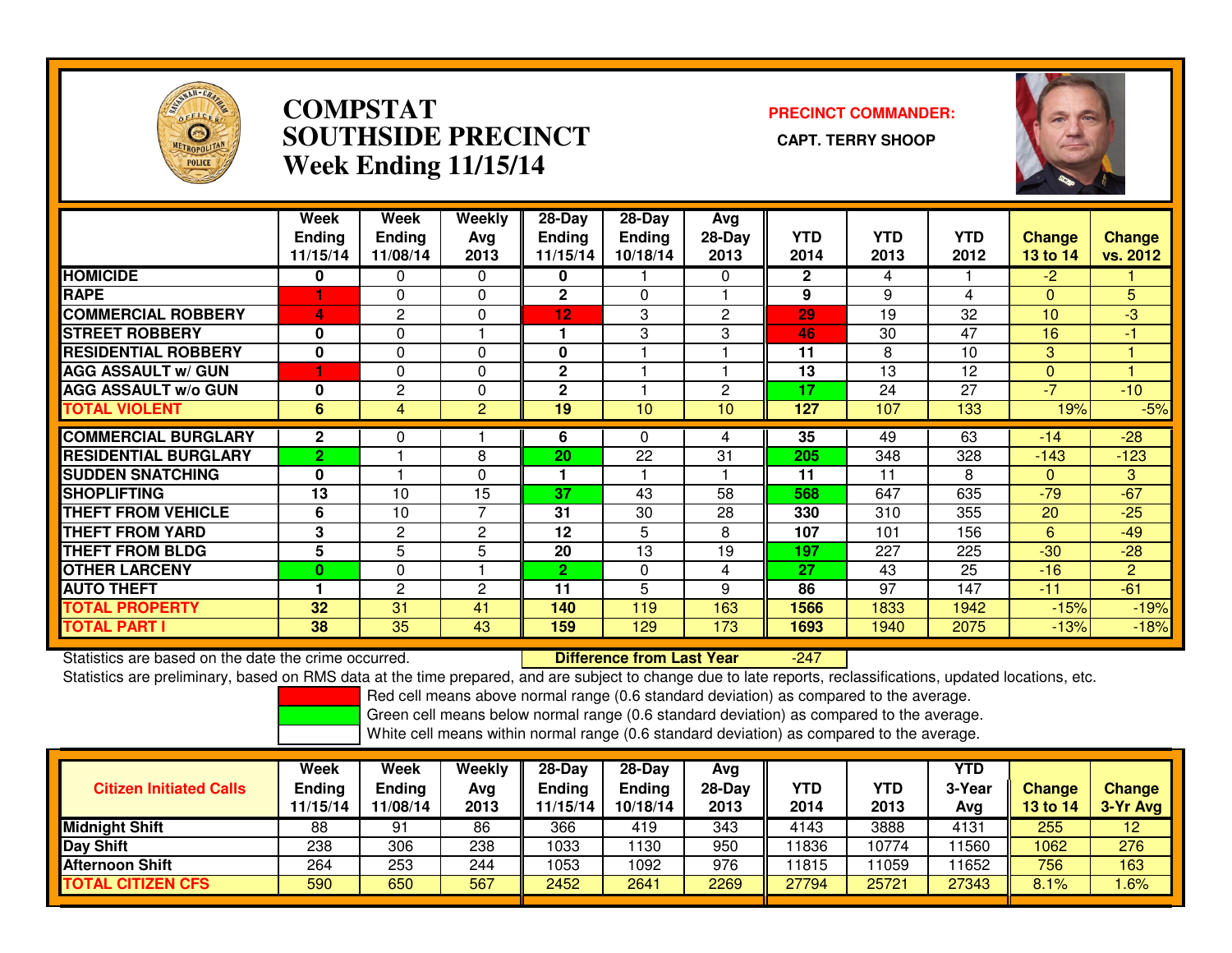

## **COMPSTAT PRECINCT COMMANDER: SOUTHSIDE PRECINCT CAPT. TERRY SHOOPWeek Ending 11/15/14**



|                             | Week<br><b>Endina</b><br>11/15/14 | <b>Week</b><br><b>Ending</b><br>11/08/14 | <b>Weekly</b><br>Avg<br>2013 | $28 - Day$<br><b>Ending</b><br>11/15/14 | $28 - Day$<br><b>Ending</b><br>10/18/14 | Avg<br>$28-Day$<br>2013 | <b>YTD</b><br>2014 | <b>YTD</b><br>2013 | <b>YTD</b><br>2012 | <b>Change</b><br>13 to 14 | <b>Change</b><br>vs. 2012 |
|-----------------------------|-----------------------------------|------------------------------------------|------------------------------|-----------------------------------------|-----------------------------------------|-------------------------|--------------------|--------------------|--------------------|---------------------------|---------------------------|
| <b>HOMICIDE</b>             | 0                                 | $\Omega$                                 | $\Omega$                     | 0                                       |                                         | $\Omega$                | $\mathbf{2}$       | 4                  |                    | $-2$                      |                           |
| <b>RAPE</b>                 |                                   | 0                                        | 0                            | $\mathbf{2}$                            | $\Omega$                                |                         | 9                  | 9                  | 4                  | $\Omega$                  | 5                         |
| <b>COMMERCIAL ROBBERY</b>   | 4                                 | 2                                        | $\Omega$                     | 12                                      | 3                                       | $\overline{2}$          | 29                 | 19                 | 32                 | 10                        | $-3$                      |
| <b>STREET ROBBERY</b>       | 0                                 | $\Omega$                                 |                              |                                         | 3                                       | 3                       | 46                 | 30                 | 47                 | 16                        | $-1$                      |
| <b>RESIDENTIAL ROBBERY</b>  | $\bf{0}$                          | $\Omega$                                 | $\Omega$                     | $\mathbf{0}$                            |                                         |                         | 11                 | 8                  | 10                 | 3                         |                           |
| <b>AGG ASSAULT w/ GUN</b>   |                                   | 0                                        | $\Omega$                     | $\mathbf{2}$                            |                                         |                         | 13                 | 13                 | 12                 | $\mathbf{0}$              |                           |
| <b>AGG ASSAULT w/o GUN</b>  | 0                                 | 2                                        | 0                            | $\mathbf 2$                             |                                         | 2                       | 17                 | 24                 | 27                 | $-7$                      | $-10$                     |
| <b>TOTAL VIOLENT</b>        | 6                                 | $\overline{4}$                           | $\overline{2}$               | 19                                      | 10                                      | 10                      | 127                | 107                | 133                | 19%                       | $-5%$                     |
| <b>COMMERCIAL BURGLARY</b>  | $\mathbf{2}$                      | 0                                        |                              | 6                                       | 0                                       | 4                       | 35                 | 49                 | 63                 | $-14$                     | $-28$                     |
| <b>RESIDENTIAL BURGLARY</b> | $\overline{2}$                    |                                          | 8                            | 20                                      | 22                                      | 31                      | 205                | 348                | 328                | $-143$                    | $-123$                    |
| <b>SUDDEN SNATCHING</b>     | $\mathbf{0}$                      |                                          | $\Omega$                     | 1                                       |                                         |                         | 11                 | 11                 | 8                  | $\Omega$                  | 3                         |
| <b>ISHOPLIFTING</b>         | 13                                | 10                                       | 15                           | 37                                      | 43                                      | 58                      | 568                | 647                | 635                | $-79$                     | $-67$                     |
| <b>THEFT FROM VEHICLE</b>   | 6                                 | 10                                       | 7                            | 31                                      | 30                                      | 28                      | 330                | 310                | 355                | 20                        | $-25$                     |
| <b>THEFT FROM YARD</b>      | 3                                 | $\mathbf{2}$                             | 2                            | 12                                      | 5                                       | 8                       | 107                | 101                | 156                | 6                         | $-49$                     |
| <b>THEFT FROM BLDG</b>      | 5                                 | 5                                        | 5                            | 20                                      | 13                                      | 19                      | 197                | 227                | 225                | $-30$                     | $-28$                     |
| <b>OTHER LARCENY</b>        | $\bf{0}$                          | $\Omega$                                 |                              | $\mathbf{2}$                            | $\Omega$                                | 4                       | 27                 | 43                 | 25                 | $-16$                     | $\overline{2}$            |
| <b>AUTO THEFT</b>           |                                   | 2                                        | 2                            | 11                                      | 5                                       | 9                       | 86                 | 97                 | 147                | $-11$                     | $-61$                     |
| <b>TOTAL PROPERTY</b>       | 32                                | 31                                       | 41                           | 140                                     | 119                                     | 163                     | 1566               | 1833               | 1942               | $-15%$                    | $-19%$                    |
| <b>TOTAL PART I</b>         | 38                                | 35                                       | 43                           | 159                                     | 129                                     | 173                     | 1693               | 1940               | 2075               | $-13%$                    | $-18%$                    |

Statistics are based on the date the crime occurred. **Difference from Last Year** 

-247

Statistics are preliminary, based on RMS data at the time prepared, and are subject to change due to late reports, reclassifications, updated locations, etc.

Red cell means above normal range (0.6 standard deviation) as compared to the average.

Green cell means below normal range (0.6 standard deviation) as compared to the average.

| <b>Citizen Initiated Calls</b> | Week<br><b>Ending</b><br>11/15/14 | <b>Week</b><br><b>Ending</b><br>11/08/14 | Weekly<br>Avg<br>2013 | 28-Day<br>Ending<br>1/15/14 | $28-Dav$<br><b>Ending</b><br>10/18/14 | Avg<br>28-Day<br>2013 | YTD<br>2014 | YTD<br>2013 | <b>YTD</b><br>3-Year<br>Avg | <b>Change</b><br>13 to 14 | <b>Change</b><br>3-Yr Avg |
|--------------------------------|-----------------------------------|------------------------------------------|-----------------------|-----------------------------|---------------------------------------|-----------------------|-------------|-------------|-----------------------------|---------------------------|---------------------------|
| <b>Midnight Shift</b>          | 88                                | 91                                       | 86                    | 366                         | 419                                   | 343                   | 4143        | 3888        | 4131                        | 255                       | 12                        |
| <b>Day Shift</b>               | 238                               | 306                                      | 238                   | 1033                        | 130                                   | 950                   | 11836       | 10774       | 1560                        | 1062                      | 276                       |
| <b>Afternoon Shift</b>         | 264                               | 253                                      | 244                   | 1053                        | 1092                                  | 976                   | 11815       | 1059        | 1652                        | 756                       | 163                       |
| TOTAL CITIZEN CFS              | 590                               | 650                                      | 567                   | 2452                        | 2641                                  | 2269                  | 27794       | 25721       | 27343                       | 8.1%                      | .6%                       |